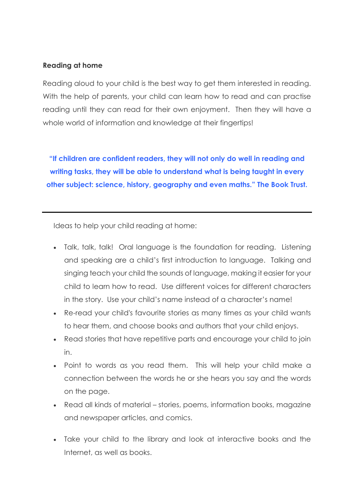## **Reading at home**

Reading aloud to your child is the best way to get them interested in reading. With the help of parents, your child can learn how to read and can practise reading until they can read for their own enjoyment. Then they will have a whole world of information and knowledge at their fingertips!

**"If children are confident readers, they will not only do well in reading and writing tasks, they will be able to understand what is being taught in every other subject: science, history, geography and even maths." The Book Trust.**

Ideas to help your child reading at home:

- Talk, talk, talk! Oral language is the foundation for reading. Listening and speaking are a child's first introduction to language. Talking and singing teach your child the sounds of language, making it easier for your child to learn how to read. Use different voices for different characters in the story. Use your child's name instead of a character's name!
- Re-read your child's favourite stories as many times as your child wants to hear them, and choose books and authors that your child enjoys.
- Read stories that have repetitive parts and encourage your child to join in.
- Point to words as you read them. This will help your child make a connection between the words he or she hears you say and the words on the page.
- Read all kinds of material stories, poems, information books, magazine and newspaper articles, and comics.
- Take your child to the library and look at interactive books and the Internet, as well as books.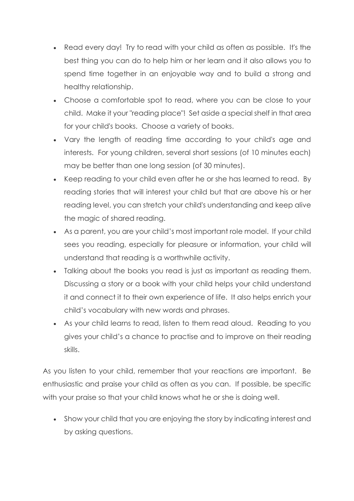- Read every day! Try to read with your child as often as possible. It's the best thing you can do to help him or her learn and it also allows you to spend time together in an enjoyable way and to build a strong and healthy relationship.
- Choose a comfortable spot to read, where you can be close to your child. Make it your "reading place"! Set aside a special shelf in that area for your child's books. Choose a variety of books.
- Vary the length of reading time according to your child's age and interests. For young children, several short sessions (of 10 minutes each) may be better than one long session (of 30 minutes).
- Keep reading to your child even after he or she has learned to read. By reading stories that will interest your child but that are above his or her reading level, you can stretch your child's understanding and keep alive the magic of shared reading.
- As a parent, you are your child's most important role model. If your child sees you reading, especially for pleasure or information, your child will understand that reading is a worthwhile activity.
- Talking about the books you read is just as important as reading them. Discussing a story or a book with your child helps your child understand it and connect it to their own experience of life. It also helps enrich your child's vocabulary with new words and phrases.
- As your child learns to read, listen to them read aloud. Reading to you gives your child's a chance to practise and to improve on their reading skills.

As you listen to your child, remember that your reactions are important. Be enthusiastic and praise your child as often as you can. If possible, be specific with your praise so that your child knows what he or she is doing well.

• Show your child that you are enjoying the story by indicating interest and by asking questions.